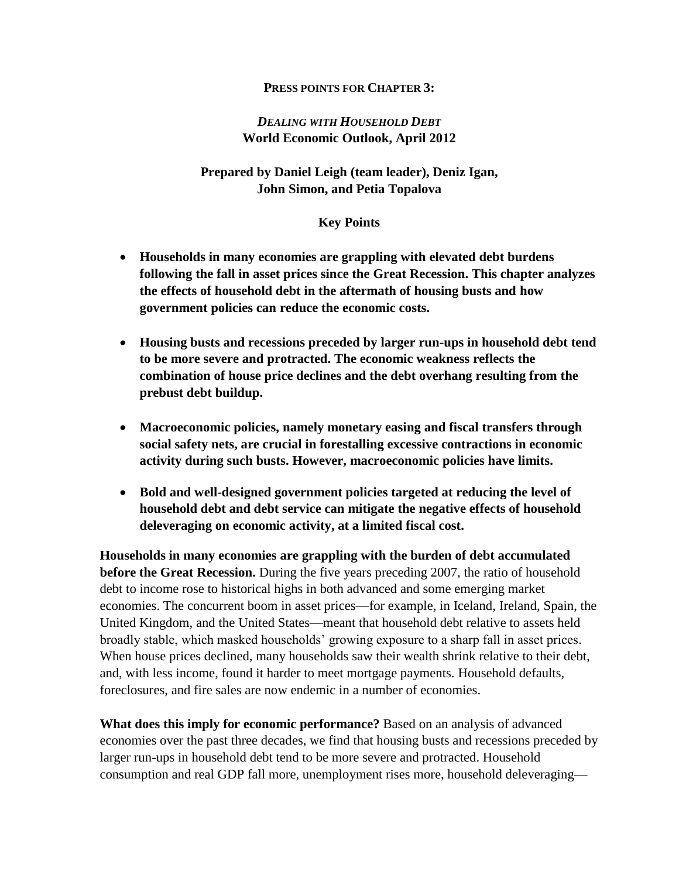#### **PRESS POINTS FOR CHAPTER 3:**

# *DEALING WITH HOUSEHOLD DEBT* **World Economic Outlook, April 2012**

## **Prepared by Daniel Leigh (team leader), Deniz Igan, John Simon, and Petia Topalova**

### **Key Points**

- **Households in many economies are grappling with elevated debt burdens following the fall in asset prices since the Great Recession. This chapter analyzes the effects of household debt in the aftermath of housing busts and how government policies can reduce the economic costs.**
- **Housing busts and recessions preceded by larger run-ups in household debt tend to be more severe and protracted. The economic weakness reflects the combination of house price declines and the debt overhang resulting from the prebust debt buildup.**
- **Macroeconomic policies, namely monetary easing and fiscal transfers through social safety nets, are crucial in forestalling excessive contractions in economic activity during such busts. However, macroeconomic policies have limits.**
- **Bold and well-designed government policies targeted at reducing the level of household debt and debt service can mitigate the negative effects of household deleveraging on economic activity, at a limited fiscal cost.**

**Households in many economies are grappling with the burden of debt accumulated before the Great Recession.** During the five years preceding 2007, the ratio of household debt to income rose to historical highs in both advanced and some emerging market economies. The concurrent boom in asset prices—for example, in Iceland, Ireland, Spain, the United Kingdom, and the United States—meant that household debt relative to assets held broadly stable, which masked households' growing exposure to a sharp fall in asset prices. When house prices declined, many households saw their wealth shrink relative to their debt, and, with less income, found it harder to meet mortgage payments. Household defaults, foreclosures, and fire sales are now endemic in a number of economies.

**What does this imply for economic performance?** Based on an analysis of advanced economies over the past three decades, we find that housing busts and recessions preceded by larger run-ups in household debt tend to be more severe and protracted. Household consumption and real GDP fall more, unemployment rises more, household deleveraging